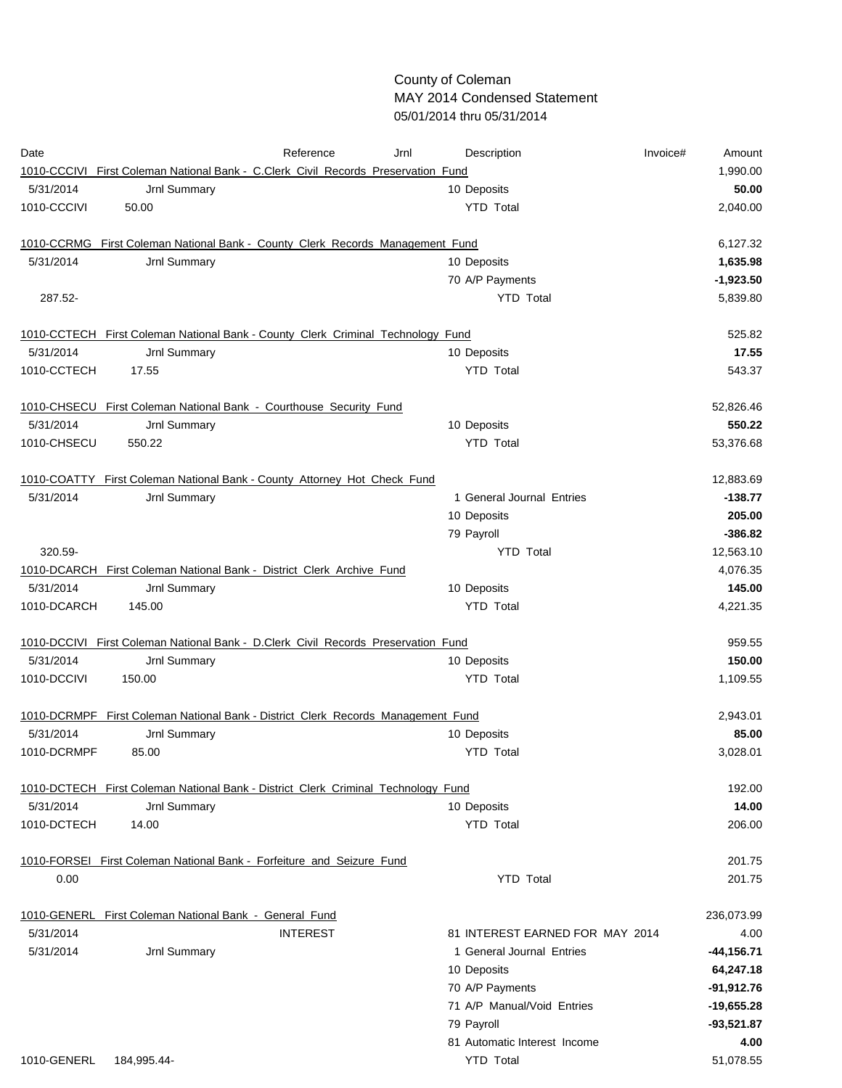## County of Coleman MAY 2014 Condensed Statement 05/01/2014 thru 05/31/2014

| Date        |                                                                                   | Reference       | Jrnl | Description                     | Invoice#<br>Amount |
|-------------|-----------------------------------------------------------------------------------|-----------------|------|---------------------------------|--------------------|
|             | 1010-CCCIVI First Coleman National Bank - C.Clerk Civil Records Preservation Fund |                 |      |                                 | 1,990.00           |
| 5/31/2014   | Jrnl Summary                                                                      |                 |      | 10 Deposits                     | 50.00              |
| 1010-CCCIVI | 50.00                                                                             |                 |      | <b>YTD Total</b>                | 2,040.00           |
|             | 1010-CCRMG First Coleman National Bank - County Clerk Records Management Fund     |                 |      |                                 | 6,127.32           |
| 5/31/2014   | Jrnl Summary                                                                      |                 |      | 10 Deposits                     | 1,635.98           |
|             |                                                                                   |                 |      | 70 A/P Payments                 | $-1,923.50$        |
| 287.52-     |                                                                                   |                 |      | <b>YTD Total</b>                | 5,839.80           |
|             | 1010-CCTECH First Coleman National Bank - County Clerk Criminal Technology Fund   |                 |      |                                 | 525.82             |
| 5/31/2014   | Jrnl Summary                                                                      |                 |      | 10 Deposits                     | 17.55              |
| 1010-CCTECH | 17.55                                                                             |                 |      | <b>YTD Total</b>                | 543.37             |
|             | 1010-CHSECU First Coleman National Bank - Courthouse Security Fund                |                 |      |                                 | 52,826.46          |
| 5/31/2014   | Jrnl Summary                                                                      |                 |      | 10 Deposits                     | 550.22             |
| 1010-CHSECU | 550.22                                                                            |                 |      | <b>YTD Total</b>                | 53,376.68          |
|             | 1010-COATTY First Coleman National Bank - County Attorney Hot Check Fund          |                 |      |                                 | 12,883.69          |
| 5/31/2014   | Jrnl Summary                                                                      |                 |      | 1 General Journal Entries       | $-138.77$          |
|             |                                                                                   |                 |      | 10 Deposits                     | 205.00             |
|             |                                                                                   |                 |      | 79 Payroll                      | $-386.82$          |
| 320.59      |                                                                                   |                 |      | <b>YTD Total</b>                | 12,563.10          |
|             | 1010-DCARCH First Coleman National Bank - District Clerk Archive Fund             |                 |      |                                 | 4,076.35           |
| 5/31/2014   | Jrnl Summary                                                                      |                 |      | 10 Deposits                     | 145.00             |
| 1010-DCARCH | 145.00                                                                            |                 |      | <b>YTD Total</b>                | 4,221.35           |
|             | 1010-DCCIVI First Coleman National Bank - D.Clerk Civil Records Preservation Fund |                 |      |                                 | 959.55             |
| 5/31/2014   | Jrnl Summary                                                                      |                 |      | 10 Deposits                     | 150.00             |
| 1010-DCCIVI | 150.00                                                                            |                 |      | <b>YTD Total</b>                | 1,109.55           |
|             | 1010-DCRMPF First Coleman National Bank - District Clerk Records Management Fund  |                 |      |                                 | 2,943.01           |
| 5/31/2014   | Jrnl Summary                                                                      |                 |      | 10 Deposits                     | 85.00              |
| 1010-DCRMPF | 85.00                                                                             |                 |      | <b>YTD Total</b>                | 3,028.01           |
|             | 1010-DCTECH First Coleman National Bank - District Clerk Criminal Technology Fund |                 |      |                                 | 192.00             |
| 5/31/2014   | Jrnl Summary                                                                      |                 |      | 10 Deposits                     | 14.00              |
| 1010-DCTECH | 14.00                                                                             |                 |      | <b>YTD Total</b>                | 206.00             |
|             | 1010-FORSEI First Coleman National Bank - Forfeiture and Seizure Fund             |                 |      |                                 | 201.75             |
| 0.00        |                                                                                   |                 |      | <b>YTD Total</b>                | 201.75             |
|             | 1010-GENERL_First Coleman National Bank - General Fund                            |                 |      |                                 | 236,073.99         |
| 5/31/2014   |                                                                                   | <b>INTEREST</b> |      | 81 INTEREST EARNED FOR MAY 2014 | 4.00               |
| 5/31/2014   | Jrnl Summary                                                                      |                 |      | 1 General Journal Entries       | $-44,156.71$       |
|             |                                                                                   |                 |      | 10 Deposits                     | 64,247.18          |
|             |                                                                                   |                 |      | 70 A/P Payments                 | $-91,912.76$       |
|             |                                                                                   |                 |      | 71 A/P Manual/Void Entries      | $-19,655.28$       |
|             |                                                                                   |                 |      | 79 Payroll                      | $-93,521.87$       |
|             |                                                                                   |                 |      | 81 Automatic Interest Income    | 4.00               |
| 1010-GENERL | 184,995.44-                                                                       |                 |      | <b>YTD Total</b>                | 51,078.55          |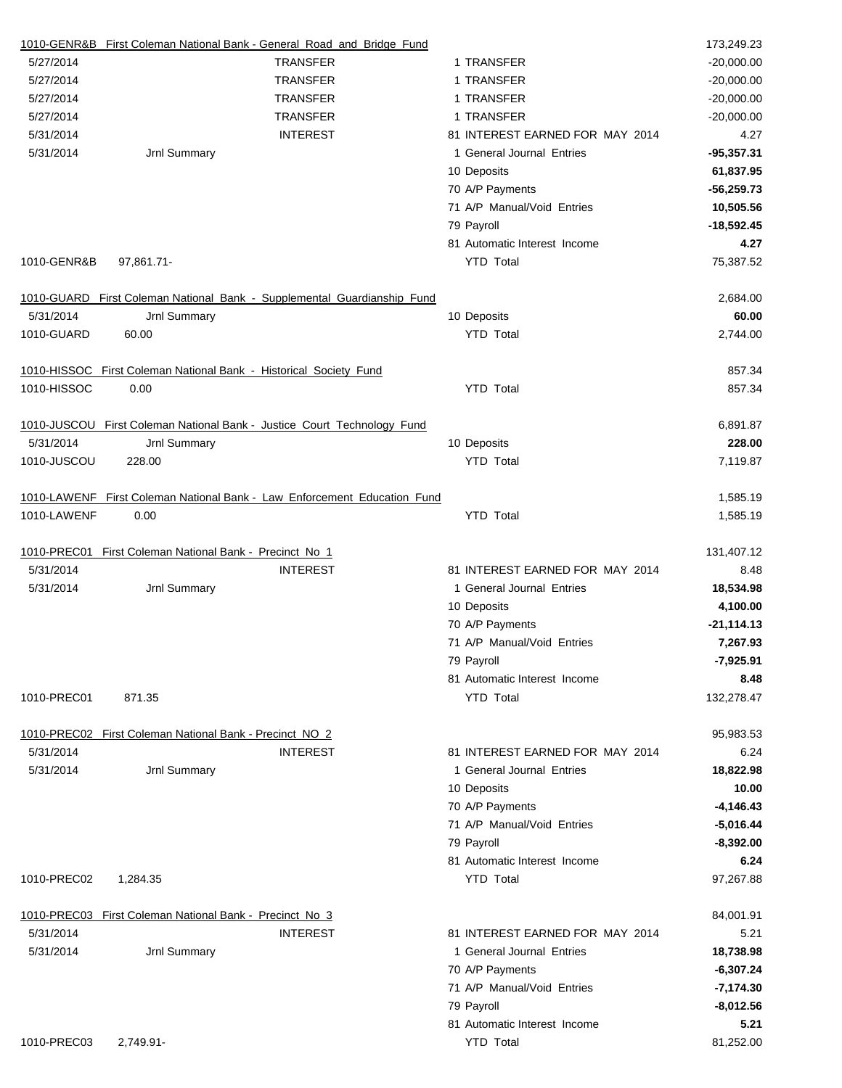|             |                                                                   | 1010-GENR&B First Coleman National Bank - General Road and Bridge Fund   |                                 | 173,249.23    |
|-------------|-------------------------------------------------------------------|--------------------------------------------------------------------------|---------------------------------|---------------|
| 5/27/2014   |                                                                   | <b>TRANSFER</b>                                                          | 1 TRANSFER                      | $-20,000.00$  |
| 5/27/2014   |                                                                   | <b>TRANSFER</b>                                                          | 1 TRANSFER                      | $-20,000.00$  |
| 5/27/2014   |                                                                   | <b>TRANSFER</b>                                                          | 1 TRANSFER                      | $-20,000.00$  |
| 5/27/2014   |                                                                   | <b>TRANSFER</b>                                                          | 1 TRANSFER                      | $-20,000.00$  |
| 5/31/2014   |                                                                   | <b>INTEREST</b>                                                          | 81 INTEREST EARNED FOR MAY 2014 | 4.27          |
| 5/31/2014   | Jrnl Summary                                                      |                                                                          | 1 General Journal Entries       | $-95,357.31$  |
|             |                                                                   |                                                                          | 10 Deposits                     | 61,837.95     |
|             |                                                                   |                                                                          | 70 A/P Payments                 | $-56,259.73$  |
|             |                                                                   |                                                                          | 71 A/P Manual/Void Entries      | 10,505.56     |
|             |                                                                   |                                                                          | 79 Payroll                      | $-18,592.45$  |
|             |                                                                   |                                                                          | 81 Automatic Interest Income    | 4.27          |
| 1010-GENR&B | 97,861.71-                                                        |                                                                          | <b>YTD Total</b>                | 75,387.52     |
|             |                                                                   | 1010-GUARD First Coleman National Bank - Supplemental Guardianship Fund  |                                 | 2,684.00      |
| 5/31/2014   | Jrnl Summary                                                      |                                                                          | 10 Deposits                     | 60.00         |
| 1010-GUARD  | 60.00                                                             |                                                                          | <b>YTD Total</b>                | 2,744.00      |
|             | 1010 HISSOC First Coleman National Bank - Historical Society Fund |                                                                          |                                 | 857.34        |
| 1010-HISSOC | 0.00                                                              |                                                                          | <b>YTD Total</b>                | 857.34        |
|             |                                                                   | 1010-JUSCOU First Coleman National Bank - Justice Court Technology Fund  |                                 | 6,891.87      |
| 5/31/2014   | Jrnl Summary                                                      |                                                                          | 10 Deposits                     | 228.00        |
| 1010-JUSCOU | 228.00                                                            |                                                                          | <b>YTD Total</b>                | 7,119.87      |
|             |                                                                   | 1010-LAWENF First Coleman National Bank - Law Enforcement Education Fund |                                 | 1,585.19      |
| 1010-LAWENF | 0.00                                                              |                                                                          | <b>YTD Total</b>                | 1,585.19      |
|             | 1010-PREC01 First Coleman National Bank - Precinct No 1           |                                                                          |                                 | 131,407.12    |
| 5/31/2014   |                                                                   | <b>INTEREST</b>                                                          | 81 INTEREST EARNED FOR MAY 2014 | 8.48          |
| 5/31/2014   | Jrnl Summary                                                      |                                                                          | 1 General Journal Entries       | 18,534.98     |
|             |                                                                   |                                                                          | 10 Deposits                     | 4,100.00      |
|             |                                                                   |                                                                          | 70 A/P Payments                 | $-21, 114.13$ |
|             |                                                                   |                                                                          | 71 A/P Manual/Void Entries      | 7,267.93      |
|             |                                                                   |                                                                          | 79 Payroll                      | $-7,925.91$   |
|             |                                                                   |                                                                          | 81 Automatic Interest Income    | 8.48          |
| 1010-PREC01 | 871.35                                                            |                                                                          | <b>YTD Total</b>                | 132,278.47    |
|             | 1010-PREC02 First Coleman National Bank - Precinct NO 2           |                                                                          |                                 | 95,983.53     |
| 5/31/2014   |                                                                   | <b>INTEREST</b>                                                          | 81 INTEREST EARNED FOR MAY 2014 | 6.24          |
| 5/31/2014   | Jrnl Summary                                                      |                                                                          | 1 General Journal Entries       | 18,822.98     |
|             |                                                                   |                                                                          | 10 Deposits                     | 10.00         |
|             |                                                                   |                                                                          | 70 A/P Payments                 | $-4,146.43$   |
|             |                                                                   |                                                                          | 71 A/P Manual/Void Entries      | $-5,016.44$   |
|             |                                                                   |                                                                          | 79 Payroll                      | $-8,392.00$   |
|             |                                                                   |                                                                          | 81 Automatic Interest Income    | 6.24          |
| 1010-PREC02 | 1,284.35                                                          |                                                                          | <b>YTD Total</b>                | 97,267.88     |
|             | 1010-PREC03 First Coleman National Bank - Precinct No 3           |                                                                          |                                 | 84,001.91     |
| 5/31/2014   |                                                                   | <b>INTEREST</b>                                                          | 81 INTEREST EARNED FOR MAY 2014 | 5.21          |
| 5/31/2014   | Jrnl Summary                                                      |                                                                          | 1 General Journal Entries       | 18,738.98     |
|             |                                                                   |                                                                          | 70 A/P Payments                 | $-6,307.24$   |
|             |                                                                   |                                                                          | 71 A/P Manual/Void Entries      | $-7,174.30$   |
|             |                                                                   |                                                                          | 79 Payroll                      | $-8,012.56$   |
|             |                                                                   |                                                                          | 81 Automatic Interest Income    | 5.21          |
| 1010-PREC03 | 2,749.91-                                                         |                                                                          | <b>YTD Total</b>                | 81,252.00     |